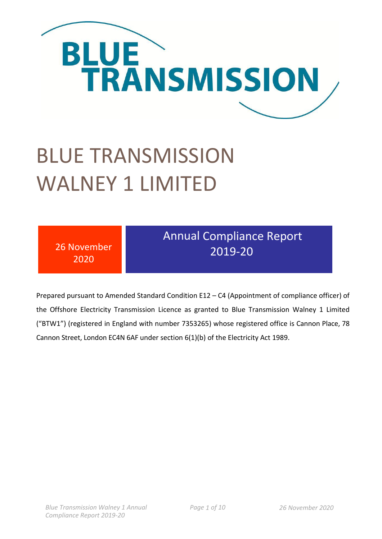

# BLUE TRANSMISSION WALNEY 1 LIMITED

| 26 November | <b>Annual Compliance Report</b> |
|-------------|---------------------------------|
| 2020        | 2019-20                         |

Prepared pursuant to Amended Standard Condition E12 – C4 (Appointment of compliance officer) of the Offshore Electricity Transmission Licence as granted to Blue Transmission Walney 1 Limited ("BTW1") (registered in England with number 7353265) whose registered office is Cannon Place, 78 Cannon Street, London EC4N 6AF under section 6(1)(b) of the Electricity Act 1989.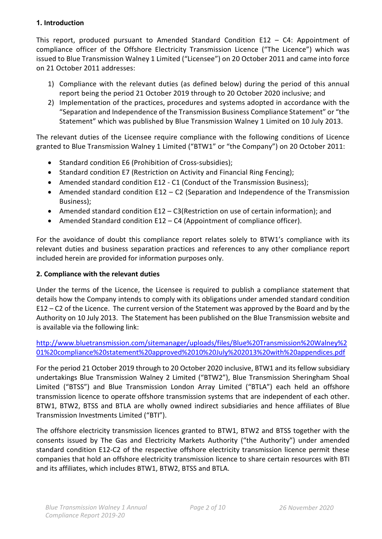#### **1. Introduction**

This report, produced pursuant to Amended Standard Condition E12 – C4: Appointment of compliance officer of the Offshore Electricity Transmission Licence ("The Licence") which was issued to Blue Transmission Walney 1 Limited ("Licensee") on 20 October 2011 and came into force on 21 October 2011 addresses:

- 1) Compliance with the relevant duties (as defined below) during the period of this annual report being the period 21 October 2019 through to 20 October 2020 inclusive; and
- 2) Implementation of the practices, procedures and systems adopted in accordance with the "Separation and Independence of the Transmission Business Compliance Statement" or "the Statement" which was published by Blue Transmission Walney 1 Limited on 10 July 2013.

The relevant duties of the Licensee require compliance with the following conditions of Licence granted to Blue Transmission Walney 1 Limited ("BTW1" or "the Company") on 20 October 2011:

- Standard condition E6 (Prohibition of Cross-subsidies);
- Standard condition E7 (Restriction on Activity and Financial Ring Fencing);
- Amended standard condition E12 C1 (Conduct of the Transmission Business);
- Amended standard condition E12 C2 (Separation and Independence of the Transmission Business);
- Amended standard condition E12 C3(Restriction on use of certain information); and
- Amended Standard condition E12 C4 (Appointment of compliance officer).

For the avoidance of doubt this compliance report relates solely to BTW1's compliance with its relevant duties and business separation practices and references to any other compliance report included herein are provided for information purposes only.

## **2. Compliance with the relevant duties**

Under the terms of the Licence, the Licensee is required to publish a compliance statement that details how the Company intends to comply with its obligations under amended standard condition E12 – C2 of the Licence. The current version of the Statement was approved by the Board and by the Authority on 10 July 2013. The Statement has been published on the Blue Transmission website and is available via the following link:

[http://www.bluetransmission.com/sitemanager/uploads/files/Blue%20Transmission%20Walney%2](http://www.bluetransmission.com/sitemanager/uploads/files/Blue%20Transmission%20Walney%201%20compliance%20statement%20approved%2010%20July%202013%20with%20appendices.pdf) [01%20compliance%20statement%20approved%2010%20July%202013%20with%20appendices.pdf](http://www.bluetransmission.com/sitemanager/uploads/files/Blue%20Transmission%20Walney%201%20compliance%20statement%20approved%2010%20July%202013%20with%20appendices.pdf)

For the period 21 October 2019 through to 20 October 2020 inclusive, BTW1 and its fellow subsidiary undertakings Blue Transmission Walney 2 Limited ("BTW2"), Blue Transmission Sheringham Shoal Limited ("BTSS") and Blue Transmission London Array Limited ("BTLA") each held an offshore transmission licence to operate offshore transmission systems that are independent of each other. BTW1, BTW2, BTSS and BTLA are wholly owned indirect subsidiaries and hence affiliates of Blue Transmission Investments Limited ("BTI").

The offshore electricity transmission licences granted to BTW1, BTW2 and BTSS together with the consents issued by The Gas and Electricity Markets Authority ("the Authority") under amended standard condition E12-C2 of the respective offshore electricity transmission licence permit these companies that hold an offshore electricity transmission licence to share certain resources with BTI and its affiliates, which includes BTW1, BTW2, BTSS and BTLA.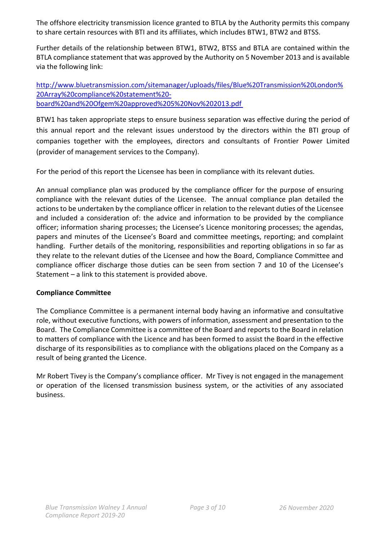The offshore electricity transmission licence granted to BTLA by the Authority permits this company to share certain resources with BTI and its affiliates, which includes BTW1, BTW2 and BTSS.

Further details of the relationship between BTW1, BTW2, BTSS and BTLA are contained within the BTLA compliance statement that was approved by the Authority on 5 November 2013 and is available via the following link:

[http://www.bluetransmission.com/sitemanager/uploads/files/Blue%20Transmission%20London%](http://www.bluetransmission.com/sitemanager/uploads/files/Blue%20Transmission%20London%20Array%20compliance%20statement%20-board%20and%20Ofgem%20approved%205%20Nov%202013.pdf) [20Array%20compliance%20statement%20](http://www.bluetransmission.com/sitemanager/uploads/files/Blue%20Transmission%20London%20Array%20compliance%20statement%20-board%20and%20Ofgem%20approved%205%20Nov%202013.pdf) [board%20and%20Ofgem%20approved%205%20Nov%202013.pdf](http://www.bluetransmission.com/sitemanager/uploads/files/Blue%20Transmission%20London%20Array%20compliance%20statement%20-board%20and%20Ofgem%20approved%205%20Nov%202013.pdf)

BTW1 has taken appropriate steps to ensure business separation was effective during the period of this annual report and the relevant issues understood by the directors within the BTI group of companies together with the employees, directors and consultants of Frontier Power Limited (provider of management services to the Company).

For the period of this report the Licensee has been in compliance with its relevant duties.

An annual compliance plan was produced by the compliance officer for the purpose of ensuring compliance with the relevant duties of the Licensee. The annual compliance plan detailed the actions to be undertaken by the compliance officer in relation to the relevant duties of the Licensee and included a consideration of: the advice and information to be provided by the compliance officer; information sharing processes; the Licensee's Licence monitoring processes; the agendas, papers and minutes of the Licensee's Board and committee meetings, reporting; and complaint handling. Further details of the monitoring, responsibilities and reporting obligations in so far as they relate to the relevant duties of the Licensee and how the Board, Compliance Committee and compliance officer discharge those duties can be seen from section 7 and 10 of the Licensee's Statement – a link to this statement is provided above.

#### **Compliance Committee**

The Compliance Committee is a permanent internal body having an informative and consultative role, without executive functions, with powers of information, assessment and presentation to the Board. The Compliance Committee is a committee of the Board and reports to the Board in relation to matters of compliance with the Licence and has been formed to assist the Board in the effective discharge of its responsibilities as to compliance with the obligations placed on the Company as a result of being granted the Licence.

Mr Robert Tivey is the Company's compliance officer. Mr Tivey is not engaged in the management or operation of the licensed transmission business system, or the activities of any associated business.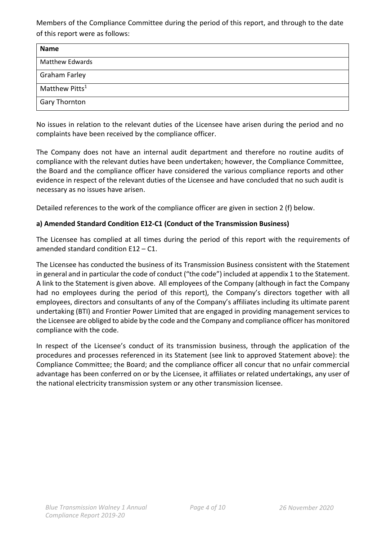Members of the Compliance Committee during the period of this report, and through to the date of this report were as follows:

| <b>Name</b>                |
|----------------------------|
| <b>Matthew Edwards</b>     |
| <b>Graham Farley</b>       |
| Matthew Pitts <sup>1</sup> |
| <b>Gary Thornton</b>       |

No issues in relation to the relevant duties of the Licensee have arisen during the period and no complaints have been received by the compliance officer.

The Company does not have an internal audit department and therefore no routine audits of compliance with the relevant duties have been undertaken; however, the Compliance Committee, the Board and the compliance officer have considered the various compliance reports and other evidence in respect of the relevant duties of the Licensee and have concluded that no such audit is necessary as no issues have arisen.

Detailed references to the work of the compliance officer are given in section 2 (f) below.

#### **a) Amended Standard Condition E12-C1 (Conduct of the Transmission Business)**

The Licensee has complied at all times during the period of this report with the requirements of amended standard condition E12 – C1.

The Licensee has conducted the business of its Transmission Business consistent with the Statement in general and in particular the code of conduct ("the code") included at appendix 1 to the Statement. A link to the Statement is given above. All employees of the Company (although in fact the Company had no employees during the period of this report), the Company's directors together with all employees, directors and consultants of any of the Company's affiliates including its ultimate parent undertaking (BTI) and Frontier Power Limited that are engaged in providing management services to the Licensee are obliged to abide by the code and the Company and compliance officer has monitored compliance with the code.

In respect of the Licensee's conduct of its transmission business, through the application of the procedures and processes referenced in its Statement (see link to approved Statement above): the Compliance Committee; the Board; and the compliance officer all concur that no unfair commercial advantage has been conferred on or by the Licensee, it affiliates or related undertakings, any user of the national electricity transmission system or any other transmission licensee.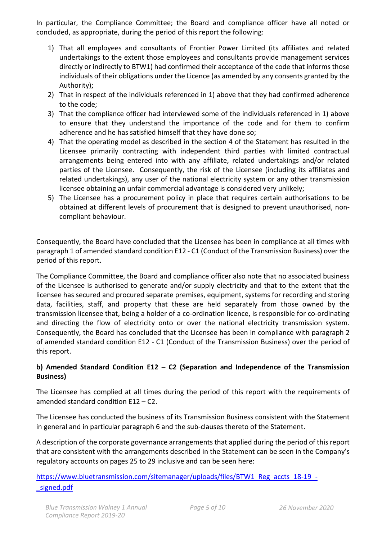In particular, the Compliance Committee; the Board and compliance officer have all noted or concluded, as appropriate, during the period of this report the following:

- 1) That all employees and consultants of Frontier Power Limited (its affiliates and related undertakings to the extent those employees and consultants provide management services directly or indirectly to BTW1) had confirmed their acceptance of the code that informs those individuals of their obligations under the Licence (as amended by any consents granted by the Authority);
- 2) That in respect of the individuals referenced in 1) above that they had confirmed adherence to the code;
- 3) That the compliance officer had interviewed some of the individuals referenced in 1) above to ensure that they understand the importance of the code and for them to confirm adherence and he has satisfied himself that they have done so;
- 4) That the operating model as described in the section 4 of the Statement has resulted in the Licensee primarily contracting with independent third parties with limited contractual arrangements being entered into with any affiliate, related undertakings and/or related parties of the Licensee. Consequently, the risk of the Licensee (including its affiliates and related undertakings), any user of the national electricity system or any other transmission licensee obtaining an unfair commercial advantage is considered very unlikely;
- 5) The Licensee has a procurement policy in place that requires certain authorisations to be obtained at different levels of procurement that is designed to prevent unauthorised, noncompliant behaviour.

Consequently, the Board have concluded that the Licensee has been in compliance at all times with paragraph 1 of amended standard condition E12 - C1 (Conduct of the Transmission Business) over the period of this report.

The Compliance Committee, the Board and compliance officer also note that no associated business of the Licensee is authorised to generate and/or supply electricity and that to the extent that the licensee has secured and procured separate premises, equipment, systems for recording and storing data, facilities, staff, and property that these are held separately from those owned by the transmission licensee that, being a holder of a co-ordination licence, is responsible for co-ordinating and directing the flow of electricity onto or over the national electricity transmission system. Consequently, the Board has concluded that the Licensee has been in compliance with paragraph 2 of amended standard condition E12 - C1 (Conduct of the Transmission Business) over the period of this report.

## **b) Amended Standard Condition E12 – C2 (Separation and Independence of the Transmission Business)**

The Licensee has complied at all times during the period of this report with the requirements of amended standard condition E12 – C2.

The Licensee has conducted the business of its Transmission Business consistent with the Statement in general and in particular paragraph 6 and the sub-clauses thereto of the Statement.

A description of the corporate governance arrangements that applied during the period of this report that are consistent with the arrangements described in the Statement can be seen in the Company's regulatory accounts on pages 25 to 29 inclusive and can be seen here:

# [https://www.bluetransmission.com/sitemanager/uploads/files/BTW1\\_Reg\\_accts\\_18-19\\_](https://www.bluetransmission.com/sitemanager/uploads/files/BTW1_Reg_accts_18-19_-_signed.pdf) signed.pdf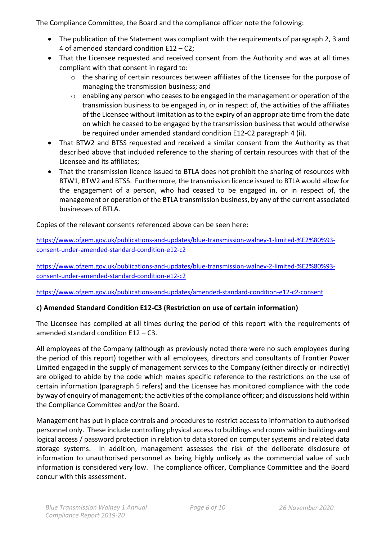The Compliance Committee, the Board and the compliance officer note the following:

- The publication of the Statement was compliant with the requirements of paragraph 2, 3 and 4 of amended standard condition E12 – C2;
- That the Licensee requested and received consent from the Authority and was at all times compliant with that consent in regard to:
	- $\circ$  the sharing of certain resources between affiliates of the Licensee for the purpose of managing the transmission business; and
	- o enabling any person who ceases to be engaged in the management or operation of the transmission business to be engaged in, or in respect of, the activities of the affiliates of the Licensee without limitation as to the expiry of an appropriate time from the date on which he ceased to be engaged by the transmission business that would otherwise be required under amended standard condition E12-C2 paragraph 4 (ii).
- That BTW2 and BTSS requested and received a similar consent from the Authority as that described above that included reference to the sharing of certain resources with that of the Licensee and its affiliates;
- That the transmission licence issued to BTLA does not prohibit the sharing of resources with BTW1, BTW2 and BTSS. Furthermore, the transmission licence issued to BTLA would allow for the engagement of a person, who had ceased to be engaged in, or in respect of, the management or operation of the BTLA transmission business, by any of the current associated businesses of BTLA.

Copies of the relevant consents referenced above can be seen here:

[https://www.ofgem.gov.uk/publications-and-updates/blue-transmission-walney-1-limited-%E2%80%93](https://www.ofgem.gov.uk/publications-and-updates/blue-transmission-walney-1-limited-%E2%80%93-consent-under-amended-standard-condition-e12-c2) [consent-under-amended-standard-condition-e12-c2](https://www.ofgem.gov.uk/publications-and-updates/blue-transmission-walney-1-limited-%E2%80%93-consent-under-amended-standard-condition-e12-c2)

[https://www.ofgem.gov.uk/publications-and-updates/blue-transmission-walney-2-limited-%E2%80%93](https://www.ofgem.gov.uk/publications-and-updates/blue-transmission-walney-2-limited-%E2%80%93-consent-under-amended-standard-condition-e12-c2) [consent-under-amended-standard-condition-e12-c2](https://www.ofgem.gov.uk/publications-and-updates/blue-transmission-walney-2-limited-%E2%80%93-consent-under-amended-standard-condition-e12-c2)

<https://www.ofgem.gov.uk/publications-and-updates/amended-standard-condition-e12-c2-consent>

#### **c) Amended Standard Condition E12-C3 (Restriction on use of certain information)**

The Licensee has complied at all times during the period of this report with the requirements of amended standard condition E12 – C3.

All employees of the Company (although as previously noted there were no such employees during the period of this report) together with all employees, directors and consultants of Frontier Power Limited engaged in the supply of management services to the Company (either directly or indirectly) are obliged to abide by the code which makes specific reference to the restrictions on the use of certain information (paragraph 5 refers) and the Licensee has monitored compliance with the code by way of enquiry of management; the activities of the compliance officer; and discussions held within the Compliance Committee and/or the Board.

Management has put in place controls and procedures to restrict access to information to authorised personnel only. These include controlling physical access to buildings and rooms within buildings and logical access / password protection in relation to data stored on computer systems and related data storage systems. In addition, management assesses the risk of the deliberate disclosure of information to unauthorised personnel as being highly unlikely as the commercial value of such information is considered very low. The compliance officer, Compliance Committee and the Board concur with this assessment.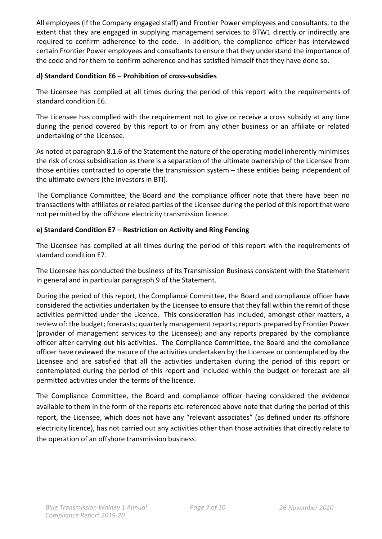All employees (if the Company engaged staff) and Frontier Power employees and consultants, to the extent that they are engaged in supplying management services to BTW1 directly or indirectly are required to confirm adherence to the code. In addition, the compliance officer has interviewed certain Frontier Power employees and consultants to ensure that they understand the importance of the code and for them to confirm adherence and has satisfied himself that they have done so.

#### **d) Standard Condition E6 – Prohibition of cross-subsidies**

The Licensee has complied at all times during the period of this report with the requirements of standard condition E6.

The Licensee has complied with the requirement not to give or receive a cross subsidy at any time during the period covered by this report to or from any other business or an affiliate or related undertaking of the Licensee.

As noted at paragraph 8.1.6 of the Statement the nature of the operating model inherently minimises the risk of cross subsidisation as there is a separation of the ultimate ownership of the Licensee from those entities contracted to operate the transmission system – these entities being independent of the ultimate owners (the investors in BTI).

The Compliance Committee, the Board and the compliance officer note that there have been no transactions with affiliates or related parties of the Licensee during the period of this report that were not permitted by the offshore electricity transmission licence.

#### **e) Standard Condition E7 – Restriction on Activity and Ring Fencing**

The Licensee has complied at all times during the period of this report with the requirements of standard condition E7.

The Licensee has conducted the business of its Transmission Business consistent with the Statement in general and in particular paragraph 9 of the Statement.

During the period of this report, the Compliance Committee, the Board and compliance officer have considered the activities undertaken by the Licensee to ensure that they fall within the remit of those activities permitted under the Licence. This consideration has included, amongst other matters, a review of: the budget; forecasts; quarterly management reports; reports prepared by Frontier Power (provider of management services to the Licensee); and any reports prepared by the compliance officer after carrying out his activities. The Compliance Committee, the Board and the compliance officer have reviewed the nature of the activities undertaken by the Licensee or contemplated by the Licensee and are satisfied that all the activities undertaken during the period of this report or contemplated during the period of this report and included within the budget or forecast are all permitted activities under the terms of the licence.

The Compliance Committee, the Board and compliance officer having considered the evidence available to them in the form of the reports etc. referenced above note that during the period of this report, the Licensee, which does not have any "relevant associates" (as defined under its offshore electricity licence), has not carried out any activities other than those activities that directly relate to the operation of an offshore transmission business.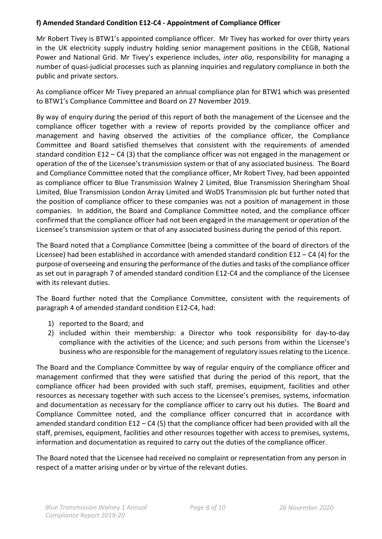#### **f) Amended Standard Condition E12-C4 - Appointment of Compliance Officer**

Mr Robert Tivey is BTW1's appointed compliance officer. Mr Tivey has worked for over thirty years in the UK electricity supply industry holding senior management positions in the CEGB, National Power and National Grid. Mr Tivey's experience includes, *inter alia*, responsibility for managing a number of quasi-judicial processes such as planning inquiries and regulatory compliance in both the public and private sectors.

As compliance officer Mr Tivey prepared an annual compliance plan for BTW1 which was presented to BTW1's Compliance Committee and Board on 27 November 2019.

By way of enquiry during the period of this report of both the management of the Licensee and the compliance officer together with a review of reports provided by the compliance officer and management and having observed the activities of the compliance officer, the Compliance Committee and Board satisfied themselves that consistent with the requirements of amended standard condition E12 – C4 (3) that the compliance officer was not engaged in the management or operation of the of the Licensee's transmission system or that of any associated business. The Board and Compliance Committee noted that the compliance officer, Mr Robert Tivey, had been appointed as compliance officer to Blue Transmission Walney 2 Limited, Blue Transmission Sheringham Shoal Limited, Blue Transmission London Array Limited and WoDS Transmission plc but further noted that the position of compliance officer to these companies was not a position of management in those companies. In addition, the Board and Compliance Committee noted, and the compliance officer confirmed that the compliance officer had not been engaged in the management or operation of the Licensee's transmission system or that of any associated business during the period of this report.

The Board noted that a Compliance Committee (being a committee of the board of directors of the Licensee) had been established in accordance with amended standard condition E12 – C4 (4) for the purpose of overseeing and ensuring the performance of the duties and tasks of the compliance officer as set out in paragraph 7 of amended standard condition E12-C4 and the compliance of the Licensee with its relevant duties.

The Board further noted that the Compliance Committee, consistent with the requirements of paragraph 4 of amended standard condition E12-C4, had:

- 1) reported to the Board; and
- 2) included within their membership: a Director who took responsibility for day-to-day compliance with the activities of the Licence; and such persons from within the Licensee's business who are responsible for the management of regulatory issues relating to the Licence.

The Board and the Compliance Committee by way of regular enquiry of the compliance officer and management confirmed that they were satisfied that during the period of this report, that the compliance officer had been provided with such staff, premises, equipment, facilities and other resources as necessary together with such access to the Licensee's premises, systems, information and documentation as necessary for the compliance officer to carry out his duties. The Board and Compliance Committee noted, and the compliance officer concurred that in accordance with amended standard condition E12 – C4 (5) that the compliance officer had been provided with all the staff, premises, equipment, facilities and other resources together with access to premises, systems, information and documentation as required to carry out the duties of the compliance officer.

The Board noted that the Licensee had received no complaint or representation from any person in respect of a matter arising under or by virtue of the relevant duties.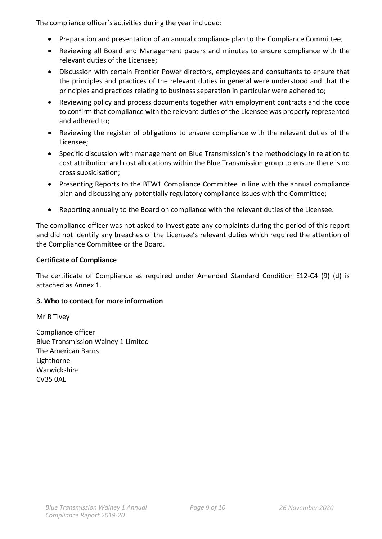The compliance officer's activities during the year included:

- Preparation and presentation of an annual compliance plan to the Compliance Committee;
- Reviewing all Board and Management papers and minutes to ensure compliance with the relevant duties of the Licensee;
- Discussion with certain Frontier Power directors, employees and consultants to ensure that the principles and practices of the relevant duties in general were understood and that the principles and practices relating to business separation in particular were adhered to;
- Reviewing policy and process documents together with employment contracts and the code to confirm that compliance with the relevant duties of the Licensee was properly represented and adhered to;
- Reviewing the register of obligations to ensure compliance with the relevant duties of the Licensee;
- Specific discussion with management on Blue Transmission's the methodology in relation to cost attribution and cost allocations within the Blue Transmission group to ensure there is no cross subsidisation;
- Presenting Reports to the BTW1 Compliance Committee in line with the annual compliance plan and discussing any potentially regulatory compliance issues with the Committee;
- Reporting annually to the Board on compliance with the relevant duties of the Licensee.

The compliance officer was not asked to investigate any complaints during the period of this report and did not identify any breaches of the Licensee's relevant duties which required the attention of the Compliance Committee or the Board.

#### **Certificate of Compliance**

The certificate of Compliance as required under Amended Standard Condition E12-C4 (9) (d) is attached as Annex 1.

#### **3. Who to contact for more information**

Mr R Tivey

Compliance officer Blue Transmission Walney 1 Limited The American Barns Lighthorne Warwickshire CV35 0AE